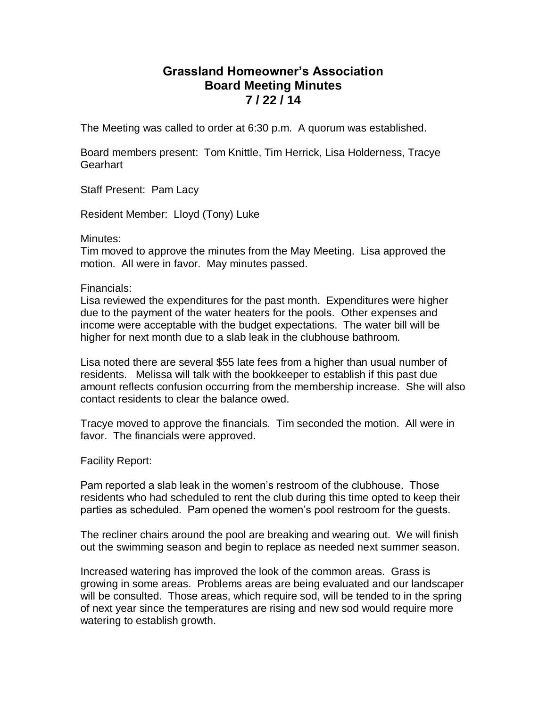## **Grassland Homeowner's Association Board Meeting Minutes 7 / 22 / 14**

The Meeting was called to order at 6:30 p.m. A quorum was established.

Board members present: Tom Knittle, Tim Herrick, Lisa Holderness, Tracye **Gearhart** 

Staff Present: Pam Lacy

Resident Member: Lloyd (Tony) Luke

Minutes:

Tim moved to approve the minutes from the May Meeting. Lisa approved the motion. All were in favor. May minutes passed.

Financials:

Lisa reviewed the expenditures for the past month. Expenditures were higher due to the payment of the water heaters for the pools. Other expenses and income were acceptable with the budget expectations. The water bill will be higher for next month due to a slab leak in the clubhouse bathroom.

Lisa noted there are several \$55 late fees from a higher than usual number of residents. Melissa will talk with the bookkeeper to establish if this past due amount reflects confusion occurring from the membership increase. She will also contact residents to clear the balance owed.

Tracye moved to approve the financials. Tim seconded the motion. All were in favor. The financials were approved.

Facility Report:

Pam reported a slab leak in the women's restroom of the clubhouse. Those residents who had scheduled to rent the club during this time opted to keep their parties as scheduled. Pam opened the women's pool restroom for the guests.

The recliner chairs around the pool are breaking and wearing out. We will finish out the swimming season and begin to replace as needed next summer season.

Increased watering has improved the look of the common areas. Grass is growing in some areas. Problems areas are being evaluated and our landscaper will be consulted. Those areas, which require sod, will be tended to in the spring of next year since the temperatures are rising and new sod would require more watering to establish growth.